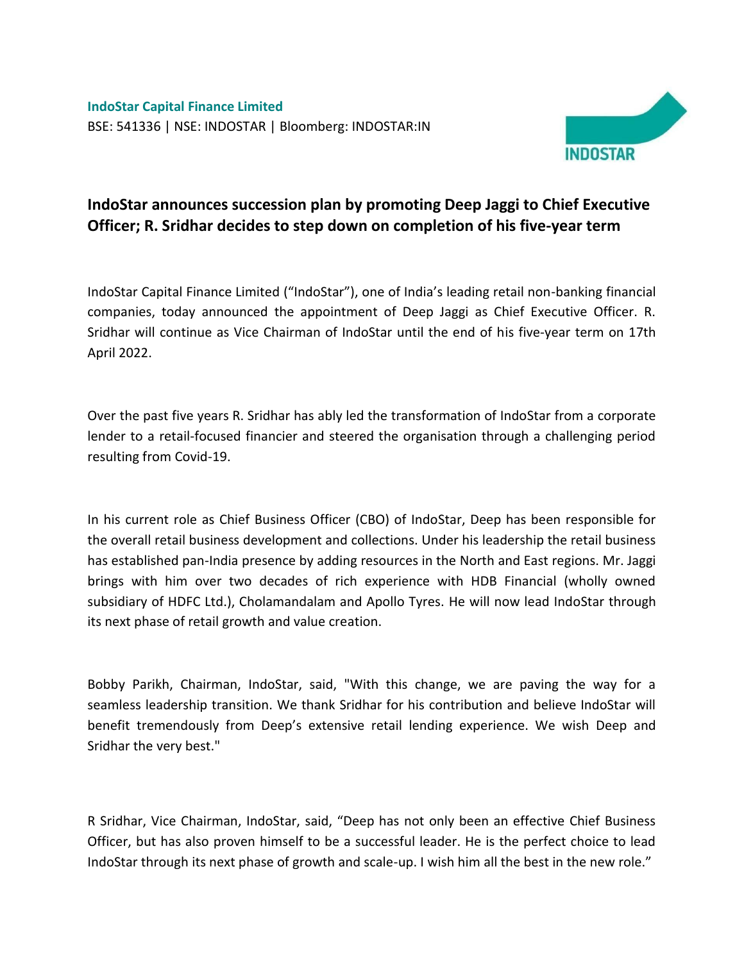**IndoStar Capital Finance Limited** BSE: 541336 | NSE: INDOSTAR | Bloomberg: INDOSTAR:IN



## **IndoStar announces succession plan by promoting Deep Jaggi to Chief Executive Officer; R. Sridhar decides to step down on completion of his five-year term**

IndoStar Capital Finance Limited ("IndoStar"), one of India's leading retail non-banking financial companies, today announced the appointment of Deep Jaggi as Chief Executive Officer. R. Sridhar will continue as Vice Chairman of IndoStar until the end of his five-year term on 17th April 2022.

Over the past five years R. Sridhar has ably led the transformation of IndoStar from a corporate lender to a retail-focused financier and steered the organisation through a challenging period resulting from Covid-19.

In his current role as Chief Business Officer (CBO) of IndoStar, Deep has been responsible for the overall retail business development and collections. Under his leadership the retail business has established pan-India presence by adding resources in the North and East regions. Mr. Jaggi brings with him over two decades of rich experience with HDB Financial (wholly owned subsidiary of HDFC Ltd.), Cholamandalam and Apollo Tyres. He will now lead IndoStar through its next phase of retail growth and value creation.

Bobby Parikh, Chairman, IndoStar, said, "With this change, we are paving the way for a seamless leadership transition. We thank Sridhar for his contribution and believe IndoStar will benefit tremendously from Deep's extensive retail lending experience. We wish Deep and Sridhar the very best."

R Sridhar, Vice Chairman, IndoStar, said, "Deep has not only been an effective Chief Business Officer, but has also proven himself to be a successful leader. He is the perfect choice to lead IndoStar through its next phase of growth and scale-up. I wish him all the best in the new role."